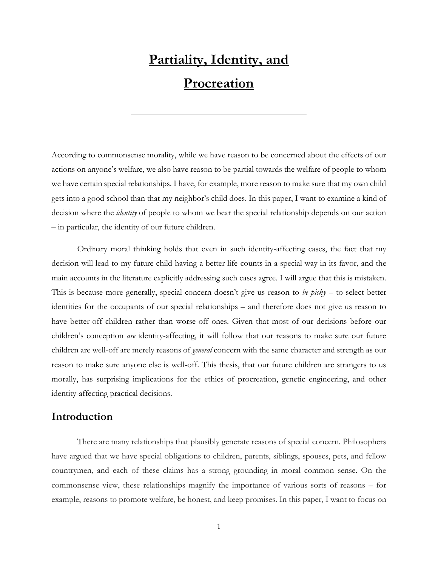# **Partiality, Identity, and**

# **Procreation**

According to commonsense morality, while we have reason to be concerned about the effects of our actions on anyone's welfare, we also have reason to be partial towards the welfare of people to whom we have certain special relationships. I have, for example, more reason to make sure that my own child gets into a good school than that my neighbor's child does. In this paper, I want to examine a kind of decision where the *identity* of people to whom we bear the special relationship depends on our action – in particular, the identity of our future children.

Ordinary moral thinking holds that even in such identity-affecting cases, the fact that my decision will lead to my future child having a better life counts in a special way in its favor, and the main accounts in the literature explicitly addressing such cases agree. I will argue that this is mistaken. This is because more generally, special concern doesn't give us reason to *be picky –* to select better identities for the occupants of our special relationships – and therefore does not give us reason to have better-off children rather than worse-off ones. Given that most of our decisions before our children's conception *are* identity-affecting, it will follow that our reasons to make sure our future children are well-off are merely reasons of *general* concern with the same character and strength as our reason to make sure anyone else is well-off. This thesis, that our future children are strangers to us morally, has surprising implications for the ethics of procreation, genetic engineering, and other identity-affecting practical decisions.

### **Introduction**

There are many relationships that plausibly generate reasons of special concern. Philosophers have argued that we have special obligations to children, parents, siblings, spouses, pets, and fellow countrymen, and each of these claims has a strong grounding in moral common sense. On the commonsense view, these relationships magnify the importance of various sorts of reasons – for example, reasons to promote welfare, be honest, and keep promises. In this paper, I want to focus on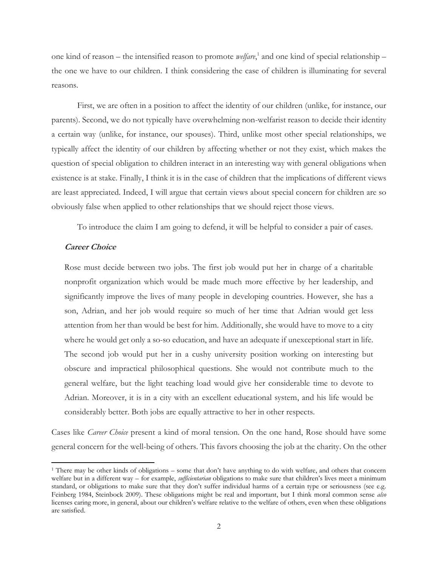one kind of reason – the intensified reason to promote *welfare*, 1 and one kind of special relationship – the one we have to our children. I think considering the case of children is illuminating for several reasons.

First, we are often in a position to affect the identity of our children (unlike, for instance, our parents). Second, we do not typically have overwhelming non-welfarist reason to decide their identity a certain way (unlike, for instance, our spouses). Third, unlike most other special relationships, we typically affect the identity of our children by affecting whether or not they exist, which makes the question of special obligation to children interact in an interesting way with general obligations when existence is at stake. Finally, I think it is in the case of children that the implications of different views are least appreciated. Indeed, I will argue that certain views about special concern for children are so obviously false when applied to other relationships that we should reject those views.

To introduce the claim I am going to defend, it will be helpful to consider a pair of cases.

### **Career Choice**

 $\overline{\phantom{a}}$ 

Rose must decide between two jobs. The first job would put her in charge of a charitable nonprofit organization which would be made much more effective by her leadership, and significantly improve the lives of many people in developing countries. However, she has a son, Adrian, and her job would require so much of her time that Adrian would get less attention from her than would be best for him. Additionally, she would have to move to a city where he would get only a so-so education, and have an adequate if unexceptional start in life. The second job would put her in a cushy university position working on interesting but obscure and impractical philosophical questions. She would not contribute much to the general welfare, but the light teaching load would give her considerable time to devote to Adrian. Moreover, it is in a city with an excellent educational system, and his life would be considerably better. Both jobs are equally attractive to her in other respects.

Cases like *Career Choice* present a kind of moral tension. On the one hand, Rose should have some general concern for the well-being of others. This favors choosing the job at the charity. On the other

<sup>1</sup> There may be other kinds of obligations – some that don't have anything to do with welfare, and others that concern welfare but in a different way – for example, *sufficientarian* obligations to make sure that children's lives meet a minimum standard, or obligations to make sure that they don't suffer individual harms of a certain type or seriousness (see e.g. Feinberg 1984, Steinbock 2009). These obligations might be real and important, but I think moral common sense *also* licenses caring more, in general, about our children's welfare relative to the welfare of others, even when these obligations are satisfied.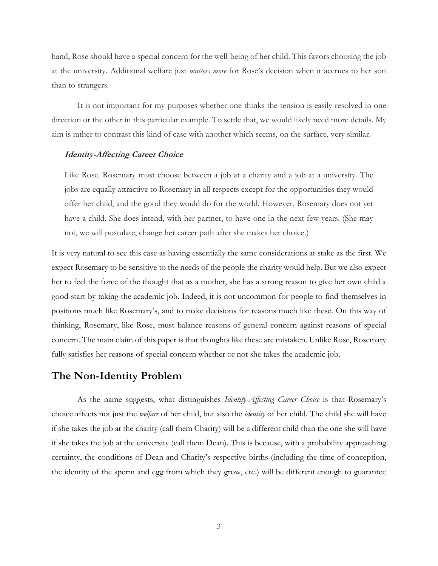hand, Rose should have a special concern for the well-being of her child. This favors choosing the job at the university. Additional welfare just *matters more* for Rose's decision when it accrues to her son than to strangers.

It is not important for my purposes whether one thinks the tension is easily resolved in one direction or the other in this particular example. To settle that, we would likely need more details. My aim is rather to contrast this kind of case with another which seems, on the surface, very similar.

#### **Identity-Affecting Career Choice**

Like Rose*,* Rosemary must choose between a job at a charity and a job at a university. The jobs are equally attractive to Rosemary in all respects except for the opportunities they would offer her child, and the good they would do for the world. However, Rosemary does not yet have a child. She does intend, with her partner, to have one in the next few years. (She may not, we will postulate, change her career path after she makes her choice.)

It is very natural to see this case as having essentially the same considerations at stake as the first. We expect Rosemary to be sensitive to the needs of the people the charity would help. But we also expect her to feel the force of the thought that as a mother, she has a strong reason to give her own child a good start by taking the academic job. Indeed, it is not uncommon for people to find themselves in positions much like Rosemary's, and to make decisions for reasons much like these. On this way of thinking, Rosemary, like Rose, must balance reasons of general concern against reasons of special concern. The main claim of this paper is that thoughts like these are mistaken. Unlike Rose, Rosemary fully satisfies her reasons of special concern whether or not she takes the academic job.

### **The Non-Identity Problem**

As the name suggests, what distinguishes *Identity-Affecting Career Choice* is that Rosemary's choice affects not just the *welfare* of her child, but also the *identity* of her child. The child she will have if she takes the job at the charity (call them Charity) will be a different child than the one she will have if she takes the job at the university (call them Dean). This is because, with a probability approaching certainty, the conditions of Dean and Charity's respective births (including the time of conception, the identity of the sperm and egg from which they grow, etc.) will be different enough to guarantee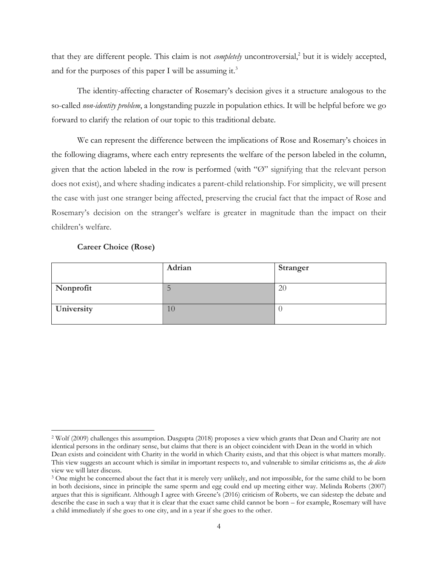that they are different people. This claim is not *completely* uncontroversial,<sup>2</sup> but it is widely accepted, and for the purposes of this paper I will be assuming it.<sup>3</sup>

The identity-affecting character of Rosemary's decision gives it a structure analogous to the so-called *non-identity problem*, a longstanding puzzle in population ethics. It will be helpful before we go forward to clarify the relation of our topic to this traditional debate.

We can represent the difference between the implications of Rose and Rosemary's choices in the following diagrams, where each entry represents the welfare of the person labeled in the column, given that the action labeled in the row is performed (with "Ø" signifying that the relevant person does not exist), and where shading indicates a parent-child relationship. For simplicity, we will present the case with just one stranger being affected, preserving the crucial fact that the impact of Rose and Rosemary's decision on the stranger's welfare is greater in magnitude than the impact on their children's welfare.

### **Career Choice (Rose)**

|            | Adrian | Stranger |
|------------|--------|----------|
|            |        |          |
| Nonprofit  | ت      | 20       |
| University | 10     |          |

 $\overline{\phantom{a}}$ <sup>2</sup> Wolf (2009) challenges this assumption. Dasgupta (2018) proposes a view which grants that Dean and Charity are not identical persons in the ordinary sense, but claims that there is an object coincident with Dean in the world in which Dean exists and coincident with Charity in the world in which Charity exists, and that this object is what matters morally. This view suggests an account which is similar in important respects to, and vulnerable to similar criticisms as, the *de dicto*  view we will later discuss.

<sup>3</sup> One might be concerned about the fact that it is merely very unlikely, and not impossible, for the same child to be born in both decisions, since in principle the same sperm and egg could end up meeting either way. Melinda Roberts (2007) argues that this is significant. Although I agree with Greene's (2016) criticism of Roberts, we can sidestep the debate and describe the case in such a way that it is clear that the exact same child cannot be born – for example, Rosemary will have a child immediately if she goes to one city, and in a year if she goes to the other.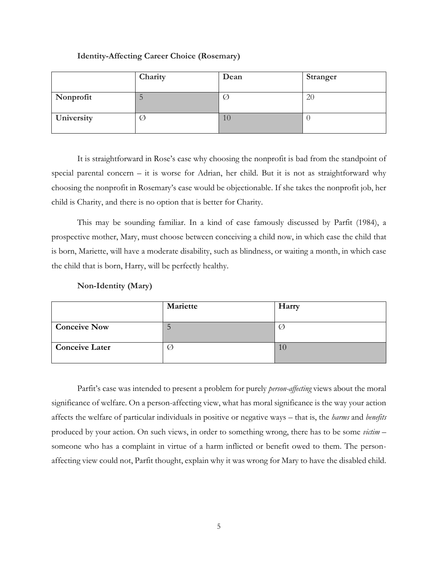### **Identity-Affecting Career Choice (Rosemary)**

|            | Charity | Dean | <b>Stranger</b> |
|------------|---------|------|-----------------|
| Nonprofit  |         |      | 20              |
| University | Ø       | ΙU   |                 |

It is straightforward in Rose's case why choosing the nonprofit is bad from the standpoint of special parental concern – it is worse for Adrian, her child. But it is not as straightforward why choosing the nonprofit in Rosemary's case would be objectionable. If she takes the nonprofit job, her child is Charity, and there is no option that is better for Charity.

This may be sounding familiar. In a kind of case famously discussed by Parfit (1984), a prospective mother, Mary, must choose between conceiving a child now, in which case the child that is born, Mariette, will have a moderate disability, such as blindness, or waiting a month, in which case the child that is born, Harry, will be perfectly healthy.

|                       | Mariette | Harry |
|-----------------------|----------|-------|
| <b>Conceive Now</b>   | J        | Ø     |
| <b>Conceive Later</b> | V.       | 10    |

### **Non-Identity (Mary)**

Parfit's case was intended to present a problem for purely *person-affecting* views about the moral significance of welfare. On a person-affecting view, what has moral significance is the way your action affects the welfare of particular individuals in positive or negative ways – that is, the *harms* and *benefits*  produced by your action. On such views, in order to something wrong, there has to be some *victim* – someone who has a complaint in virtue of a harm inflicted or benefit owed to them. The personaffecting view could not, Parfit thought, explain why it was wrong for Mary to have the disabled child.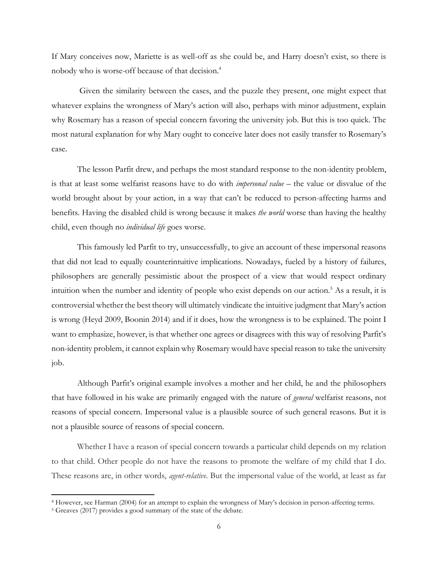If Mary conceives now, Mariette is as well-off as she could be, and Harry doesn't exist, so there is nobody who is worse-off because of that decision.<sup>4</sup>

Given the similarity between the cases, and the puzzle they present, one might expect that whatever explains the wrongness of Mary's action will also, perhaps with minor adjustment, explain why Rosemary has a reason of special concern favoring the university job. But this is too quick. The most natural explanation for why Mary ought to conceive later does not easily transfer to Rosemary's case.

The lesson Parfit drew, and perhaps the most standard response to the non-identity problem, is that at least some welfarist reasons have to do with *impersonal value* – the value or disvalue of the world brought about by your action, in a way that can't be reduced to person-affecting harms and benefits. Having the disabled child is wrong because it makes *the world* worse than having the healthy child, even though no *individual life* goes worse.

This famously led Parfit to try, unsuccessfully, to give an account of these impersonal reasons that did not lead to equally counterintuitive implications. Nowadays, fueled by a history of failures, philosophers are generally pessimistic about the prospect of a view that would respect ordinary intuition when the number and identity of people who exist depends on our action.<sup>5</sup> As a result, it is controversial whether the best theory will ultimately vindicate the intuitive judgment that Mary's action is wrong (Heyd 2009, Boonin 2014) and if it does, how the wrongness is to be explained. The point I want to emphasize, however, is that whether one agrees or disagrees with this way of resolving Parfit's non-identity problem, it cannot explain why Rosemary would have special reason to take the university job.

Although Parfit's original example involves a mother and her child, he and the philosophers that have followed in his wake are primarily engaged with the nature of *general* welfarist reasons, not reasons of special concern. Impersonal value is a plausible source of such general reasons. But it is not a plausible source of reasons of special concern.

Whether I have a reason of special concern towards a particular child depends on my relation to that child. Other people do not have the reasons to promote the welfare of my child that I do. These reasons are, in other words, *agent-relative*. But the impersonal value of the world, at least as far

 $\overline{\phantom{a}}$ 

<sup>4</sup> However, see Harman (2004) for an attempt to explain the wrongness of Mary's decision in person-affecting terms.

<sup>5</sup> Greaves (2017) provides a good summary of the state of the debate.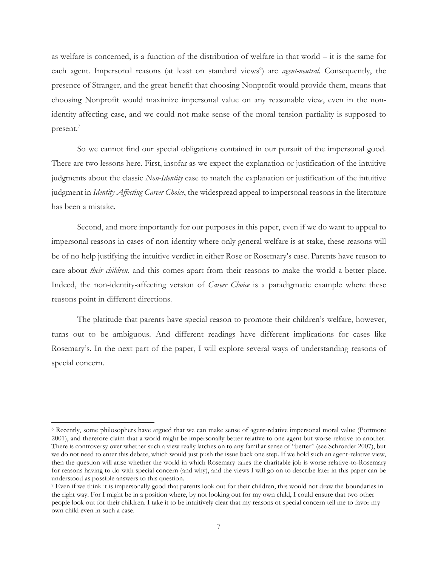as welfare is concerned, is a function of the distribution of welfare in that world – it is the same for each agent. Impersonal reasons (at least on standard views<sup>6</sup>) are *agent-neutral*. Consequently, the presence of Stranger, and the great benefit that choosing Nonprofit would provide them, means that choosing Nonprofit would maximize impersonal value on any reasonable view, even in the nonidentity-affecting case, and we could not make sense of the moral tension partiality is supposed to present.<sup>7</sup>

So we cannot find our special obligations contained in our pursuit of the impersonal good. There are two lessons here. First, insofar as we expect the explanation or justification of the intuitive judgments about the classic *Non-Identity* case to match the explanation or justification of the intuitive judgment in *Identity-Affecting Career Choice*, the widespread appeal to impersonal reasons in the literature has been a mistake.

Second, and more importantly for our purposes in this paper, even if we do want to appeal to impersonal reasons in cases of non-identity where only general welfare is at stake, these reasons will be of no help justifying the intuitive verdict in either Rose or Rosemary's case. Parents have reason to care about *their children*, and this comes apart from their reasons to make the world a better place. Indeed, the non-identity-affecting version of *Career Choice* is a paradigmatic example where these reasons point in different directions.

The platitude that parents have special reason to promote their children's welfare, however, turns out to be ambiguous. And different readings have different implications for cases like Rosemary's. In the next part of the paper, I will explore several ways of understanding reasons of special concern.

 $\overline{\phantom{a}}$ 

<sup>6</sup> Recently, some philosophers have argued that we can make sense of agent-relative impersonal moral value (Portmore 2001), and therefore claim that a world might be impersonally better relative to one agent but worse relative to another. There is controversy over whether such a view really latches on to any familiar sense of "better" (see Schroeder 2007), but we do not need to enter this debate, which would just push the issue back one step. If we hold such an agent-relative view, then the question will arise whether the world in which Rosemary takes the charitable job is worse relative-to-Rosemary for reasons having to do with special concern (and why), and the views I will go on to describe later in this paper can be understood as possible answers to this question.

<sup>7</sup> Even if we think it is impersonally good that parents look out for their children, this would not draw the boundaries in the right way. For I might be in a position where, by not looking out for my own child, I could ensure that two other people look out for their children. I take it to be intuitively clear that my reasons of special concern tell me to favor my own child even in such a case.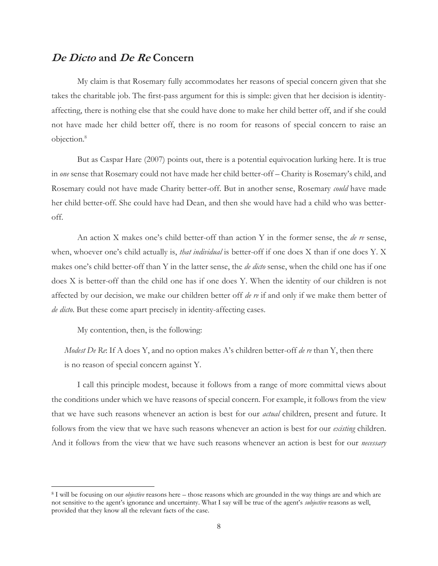## **De Dicto and De Re Concern**

My claim is that Rosemary fully accommodates her reasons of special concern given that she takes the charitable job. The first-pass argument for this is simple: given that her decision is identityaffecting, there is nothing else that she could have done to make her child better off, and if she could not have made her child better off, there is no room for reasons of special concern to raise an objection. 8

But as Caspar Hare (2007) points out, there is a potential equivocation lurking here. It is true in *one* sense that Rosemary could not have made her child better-off – Charity is Rosemary's child, and Rosemary could not have made Charity better-off. But in another sense, Rosemary *could* have made her child better-off. She could have had Dean, and then she would have had a child who was betteroff.

An action X makes one's child better-off than action Y in the former sense, the *de re* sense, when, whoever one's child actually is, *that individual* is better-off if one does X than if one does Y. X makes one's child better-off than Y in the latter sense, the *de dicto* sense, when the child one has if one does X is better-off than the child one has if one does Y. When the identity of our children is not affected by our decision, we make our children better off *de re* if and only if we make them better of *de dicto*. But these come apart precisely in identity-affecting cases.

My contention, then, is the following:

 $\overline{\phantom{a}}$ 

*Modest De Re*: If A does Y, and no option makes A's children better-off *de re* than Y, then there is no reason of special concern against Y.

I call this principle modest, because it follows from a range of more committal views about the conditions under which we have reasons of special concern. For example, it follows from the view that we have such reasons whenever an action is best for our *actual* children, present and future. It follows from the view that we have such reasons whenever an action is best for our *existing* children. And it follows from the view that we have such reasons whenever an action is best for our *necessary* 

<sup>8</sup> I will be focusing on our *objective* reasons here – those reasons which are grounded in the way things are and which are not sensitive to the agent's ignorance and uncertainty. What I say will be true of the agent's *subjective* reasons as well, provided that they know all the relevant facts of the case.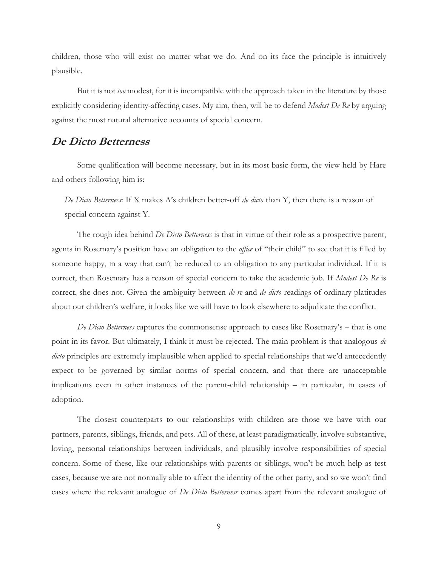children, those who will exist no matter what we do. And on its face the principle is intuitively plausible.

But it is not *too* modest, for it is incompatible with the approach taken in the literature by those explicitly considering identity-affecting cases. My aim, then, will be to defend *Modest De Re* by arguing against the most natural alternative accounts of special concern.

# **De Dicto Betterness**

Some qualification will become necessary, but in its most basic form, the view held by Hare and others following him is:

*De Dicto Betterness*: If X makes A's children better-off *de dicto* than Y, then there is a reason of special concern against Y.

The rough idea behind *De Dicto Betterness* is that in virtue of their role as a prospective parent, agents in Rosemary's position have an obligation to the *office* of "their child" to see that it is filled by someone happy, in a way that can't be reduced to an obligation to any particular individual. If it is correct, then Rosemary has a reason of special concern to take the academic job. If *Modest De Re* is correct, she does not. Given the ambiguity between *de re* and *de dicto* readings of ordinary platitudes about our children's welfare, it looks like we will have to look elsewhere to adjudicate the conflict.

*De Dicto Betterness* captures the commonsense approach to cases like Rosemary's – that is one point in its favor. But ultimately, I think it must be rejected. The main problem is that analogous *de dicto* principles are extremely implausible when applied to special relationships that we'd antecedently expect to be governed by similar norms of special concern, and that there are unacceptable implications even in other instances of the parent-child relationship – in particular, in cases of adoption.

The closest counterparts to our relationships with children are those we have with our partners, parents, siblings, friends, and pets. All of these, at least paradigmatically, involve substantive, loving, personal relationships between individuals, and plausibly involve responsibilities of special concern. Some of these, like our relationships with parents or siblings, won't be much help as test cases, because we are not normally able to affect the identity of the other party, and so we won't find cases where the relevant analogue of *De Dicto Betterness* comes apart from the relevant analogue of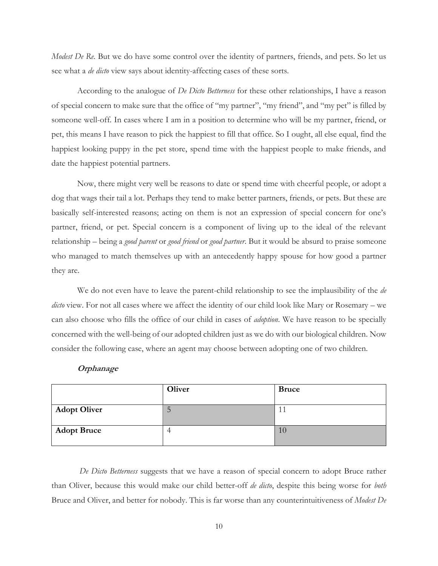*Modest De Re*. But we do have some control over the identity of partners, friends, and pets. So let us see what a *de dicto* view says about identity-affecting cases of these sorts.

According to the analogue of *De Dicto Betterness* for these other relationships, I have a reason of special concern to make sure that the office of "my partner", "my friend", and "my pet" is filled by someone well-off. In cases where I am in a position to determine who will be my partner, friend, or pet, this means I have reason to pick the happiest to fill that office. So I ought, all else equal, find the happiest looking puppy in the pet store, spend time with the happiest people to make friends, and date the happiest potential partners.

Now, there might very well be reasons to date or spend time with cheerful people, or adopt a dog that wags their tail a lot. Perhaps they tend to make better partners, friends, or pets. But these are basically self-interested reasons; acting on them is not an expression of special concern for one's partner, friend, or pet. Special concern is a component of living up to the ideal of the relevant relationship – being a *good parent* or *good friend* or *good partner*. But it would be absurd to praise someone who managed to match themselves up with an antecedently happy spouse for how good a partner they are.

We do not even have to leave the parent-child relationship to see the implausibility of the *de dicto* view. For not all cases where we affect the identity of our child look like Mary or Rosemary – we can also choose who fills the office of our child in cases of *adoption*. We have reason to be specially concerned with the well-being of our adopted children just as we do with our biological children. Now consider the following case, where an agent may choose between adopting one of two children.

|                     | Oliver | <b>Bruce</b> |
|---------------------|--------|--------------|
|                     |        |              |
| <b>Adopt Oliver</b> |        |              |
| <b>Adopt Bruce</b>  |        | 1 V          |

#### **Orphanage**

*De Dicto Betterness* suggests that we have a reason of special concern to adopt Bruce rather than Oliver, because this would make our child better-off *de dicto*, despite this being worse for *both*  Bruce and Oliver, and better for nobody. This is far worse than any counterintuitiveness of *Modest De*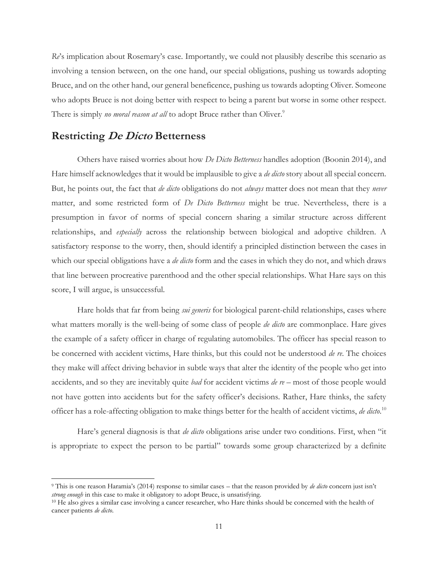*Re*'s implication about Rosemary's case. Importantly, we could not plausibly describe this scenario as involving a tension between, on the one hand, our special obligations, pushing us towards adopting Bruce, and on the other hand, our general beneficence, pushing us towards adopting Oliver. Someone who adopts Bruce is not doing better with respect to being a parent but worse in some other respect. There is simply *no moral reason at all* to adopt Bruce rather than Oliver.<sup>9</sup>

### **Restricting De Dicto Betterness**

 $\overline{\phantom{a}}$ 

Others have raised worries about how *De Dicto Betterness* handles adoption (Boonin 2014), and Hare himself acknowledges that it would be implausible to give a *de dicto* story about all special concern. But, he points out, the fact that *de dicto* obligations do not *always* matter does not mean that they *never* matter, and some restricted form of *De Dicto Betterness* might be true. Nevertheless, there is a presumption in favor of norms of special concern sharing a similar structure across different relationships, and *especially* across the relationship between biological and adoptive children. A satisfactory response to the worry, then, should identify a principled distinction between the cases in which our special obligations have a *de dicto* form and the cases in which they do not, and which draws that line between procreative parenthood and the other special relationships. What Hare says on this score, I will argue, is unsuccessful.

Hare holds that far from being *sui generis* for biological parent-child relationships, cases where what matters morally is the well-being of some class of people *de dicto* are commonplace. Hare gives the example of a safety officer in charge of regulating automobiles. The officer has special reason to be concerned with accident victims, Hare thinks, but this could not be understood *de re*. The choices they make will affect driving behavior in subtle ways that alter the identity of the people who get into accidents, and so they are inevitably quite *bad* for accident victims *de re* – most of those people would not have gotten into accidents but for the safety officer's decisions. Rather, Hare thinks, the safety officer has a role-affecting obligation to make things better for the health of accident victims, *de dicto*. 10

Hare's general diagnosis is that *de dicto* obligations arise under two conditions. First, when "it is appropriate to expect the person to be partial" towards some group characterized by a definite

<sup>9</sup> This is one reason Haramia's (2014) response to similar cases – that the reason provided by *de dicto* concern just isn't *strong enough* in this case to make it obligatory to adopt Bruce, is unsatisfying.

<sup>&</sup>lt;sup>10</sup> He also gives a similar case involving a cancer researcher, who Hare thinks should be concerned with the health of cancer patients *de dicto*.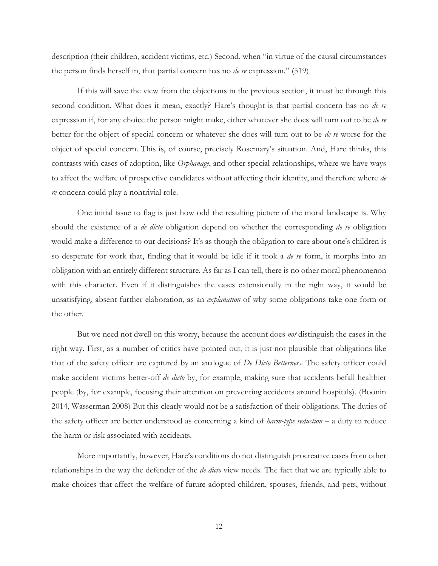description (their children, accident victims, etc.) Second, when "in virtue of the causal circumstances the person finds herself in, that partial concern has no *de re* expression." (519)

If this will save the view from the objections in the previous section, it must be through this second condition. What does it mean, exactly? Hare's thought is that partial concern has no *de re* expression if, for any choice the person might make, either whatever she does will turn out to be *de re* better for the object of special concern or whatever she does will turn out to be *de re* worse for the object of special concern. This is, of course, precisely Rosemary's situation. And, Hare thinks, this contrasts with cases of adoption, like *Orphanage*, and other special relationships, where we have ways to affect the welfare of prospective candidates without affecting their identity, and therefore where *de re* concern could play a nontrivial role.

One initial issue to flag is just how odd the resulting picture of the moral landscape is. Why should the existence of a *de dicto* obligation depend on whether the corresponding *de re* obligation would make a difference to our decisions? It's as though the obligation to care about one's children is so desperate for work that, finding that it would be idle if it took a *de re* form, it morphs into an obligation with an entirely different structure. As far as I can tell, there is no other moral phenomenon with this character. Even if it distinguishes the cases extensionally in the right way, it would be unsatisfying, absent further elaboration, as an *explanation* of why some obligations take one form or the other.

But we need not dwell on this worry, because the account does *not* distinguish the cases in the right way. First, as a number of critics have pointed out, it is just not plausible that obligations like that of the safety officer are captured by an analogue of *De Dicto Betterness*. The safety officer could make accident victims better-off *de dicto* by, for example, making sure that accidents befall healthier people (by, for example, focusing their attention on preventing accidents around hospitals). (Boonin 2014, Wasserman 2008) But this clearly would not be a satisfaction of their obligations. The duties of the safety officer are better understood as concerning a kind of *harm-type reduction –* a duty to reduce the harm or risk associated with accidents.

More importantly, however, Hare's conditions do not distinguish procreative cases from other relationships in the way the defender of the *de dicto* view needs. The fact that we are typically able to make choices that affect the welfare of future adopted children, spouses, friends, and pets, without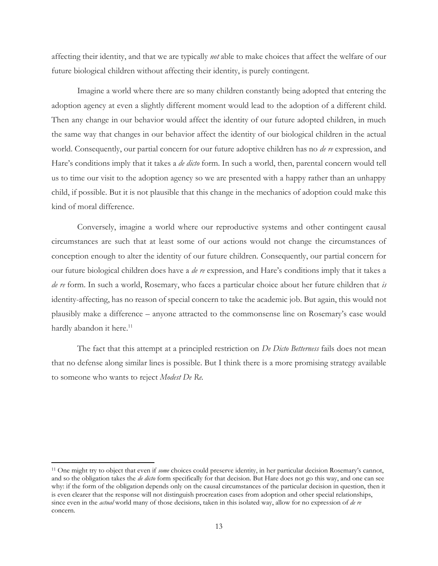affecting their identity, and that we are typically *not* able to make choices that affect the welfare of our future biological children without affecting their identity, is purely contingent.

Imagine a world where there are so many children constantly being adopted that entering the adoption agency at even a slightly different moment would lead to the adoption of a different child. Then any change in our behavior would affect the identity of our future adopted children, in much the same way that changes in our behavior affect the identity of our biological children in the actual world. Consequently, our partial concern for our future adoptive children has no *de re* expression, and Hare's conditions imply that it takes a *de dicto* form. In such a world, then, parental concern would tell us to time our visit to the adoption agency so we are presented with a happy rather than an unhappy child, if possible. But it is not plausible that this change in the mechanics of adoption could make this kind of moral difference.

Conversely, imagine a world where our reproductive systems and other contingent causal circumstances are such that at least some of our actions would not change the circumstances of conception enough to alter the identity of our future children. Consequently, our partial concern for our future biological children does have a *de re* expression, and Hare's conditions imply that it takes a *de re* form. In such a world, Rosemary, who faces a particular choice about her future children that *is*  identity-affecting, has no reason of special concern to take the academic job. But again, this would not plausibly make a difference – anyone attracted to the commonsense line on Rosemary's case would hardly abandon it here.<sup>11</sup>

The fact that this attempt at a principled restriction on *De Dicto Betterness* fails does not mean that no defense along similar lines is possible. But I think there is a more promising strategy available to someone who wants to reject *Modest De Re.*

 $\overline{\phantom{a}}$ 

<sup>11</sup> One might try to object that even if *some* choices could preserve identity, in her particular decision Rosemary's cannot, and so the obligation takes the *de dicto* form specifically for that decision. But Hare does not go this way, and one can see why: if the form of the obligation depends only on the causal circumstances of the particular decision in question, then it is even clearer that the response will not distinguish procreation cases from adoption and other special relationships, since even in the *actual* world many of those decisions, taken in this isolated way, allow for no expression of *de re* concern.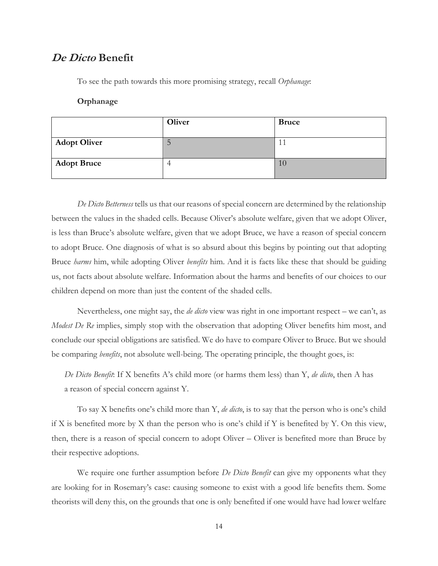# **De Dicto Benefit**

To see the path towards this more promising strategy, recall *Orphanage*:

### **Orphanage**

|                     | Oliver | <b>Bruce</b> |
|---------------------|--------|--------------|
|                     |        |              |
| <b>Adopt Oliver</b> | J      |              |
| <b>Adopt Bruce</b>  |        | LU           |

*De Dicto Betterness* tells us that our reasons of special concern are determined by the relationship between the values in the shaded cells. Because Oliver's absolute welfare, given that we adopt Oliver, is less than Bruce's absolute welfare, given that we adopt Bruce, we have a reason of special concern to adopt Bruce. One diagnosis of what is so absurd about this begins by pointing out that adopting Bruce *harms* him, while adopting Oliver *benefits* him. And it is facts like these that should be guiding us, not facts about absolute welfare. Information about the harms and benefits of our choices to our children depend on more than just the content of the shaded cells.

Nevertheless, one might say, the *de dicto* view was right in one important respect – we can't, as *Modest De Re* implies, simply stop with the observation that adopting Oliver benefits him most, and conclude our special obligations are satisfied. We do have to compare Oliver to Bruce. But we should be comparing *benefits*, not absolute well-being. The operating principle, the thought goes, is:

*De Dicto Benefit*: If X benefits A's child more (or harms them less) than Y, *de dicto*, then A has a reason of special concern against Y.

To say X benefits one's child more than Y, *de dicto*, is to say that the person who is one's child if X is benefited more by X than the person who is one's child if Y is benefited by Y. On this view, then, there is a reason of special concern to adopt Oliver – Oliver is benefited more than Bruce by their respective adoptions.

We require one further assumption before *De Dicto Benefit* can give my opponents what they are looking for in Rosemary's case: causing someone to exist with a good life benefits them. Some theorists will deny this, on the grounds that one is only benefited if one would have had lower welfare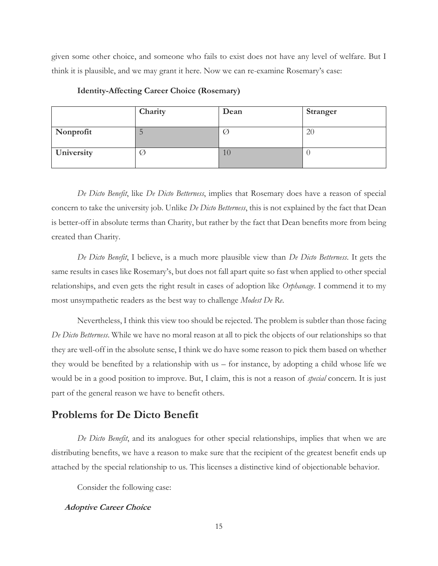given some other choice, and someone who fails to exist does not have any level of welfare. But I think it is plausible, and we may grant it here. Now we can re-examine Rosemary's case:

|            | Charity | Dean | <b>Stranger</b> |
|------------|---------|------|-----------------|
| Nonprofit  |         | V.   | 20              |
| University | ⊘       | LU   |                 |

### **Identity-Affecting Career Choice (Rosemary)**

*De Dicto Benefit*, like *De Dicto Betterness*, implies that Rosemary does have a reason of special concern to take the university job. Unlike *De Dicto Betterness*, this is not explained by the fact that Dean is better-off in absolute terms than Charity, but rather by the fact that Dean benefits more from being created than Charity.

*De Dicto Benefit*, I believe, is a much more plausible view than *De Dicto Betterness*. It gets the same results in cases like Rosemary's, but does not fall apart quite so fast when applied to other special relationships, and even gets the right result in cases of adoption like *Orphanage*. I commend it to my most unsympathetic readers as the best way to challenge *Modest De Re*.

Nevertheless, I think this view too should be rejected. The problem is subtler than those facing *De Dicto Betterness*. While we have no moral reason at all to pick the objects of our relationships so that they are well-off in the absolute sense, I think we do have some reason to pick them based on whether they would be benefited by a relationship with us – for instance, by adopting a child whose life we would be in a good position to improve. But, I claim, this is not a reason of *special* concern. It is just part of the general reason we have to benefit others.

# **Problems for De Dicto Benefit**

*De Dicto Benefit*, and its analogues for other special relationships, implies that when we are distributing benefits, we have a reason to make sure that the recipient of the greatest benefit ends up attached by the special relationship to us. This licenses a distinctive kind of objectionable behavior.

Consider the following case:

### **Adoptive Career Choice**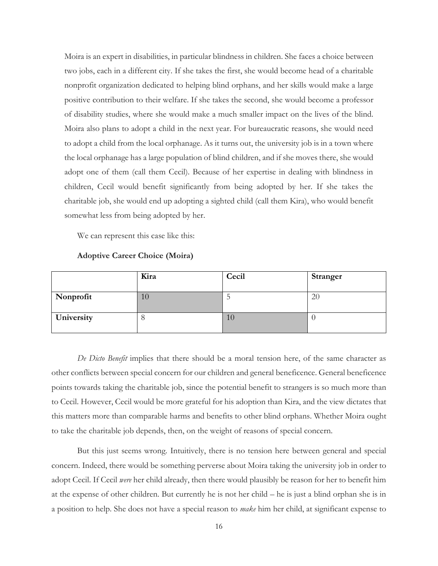Moira is an expert in disabilities, in particular blindness in children. She faces a choice between two jobs, each in a different city. If she takes the first, she would become head of a charitable nonprofit organization dedicated to helping blind orphans, and her skills would make a large positive contribution to their welfare. If she takes the second, she would become a professor of disability studies, where she would make a much smaller impact on the lives of the blind. Moira also plans to adopt a child in the next year. For bureaucratic reasons, she would need to adopt a child from the local orphanage. As it turns out, the university job is in a town where the local orphanage has a large population of blind children, and if she moves there, she would adopt one of them (call them Cecil). Because of her expertise in dealing with blindness in children, Cecil would benefit significantly from being adopted by her. If she takes the charitable job, she would end up adopting a sighted child (call them Kira), who would benefit somewhat less from being adopted by her.

We can represent this case like this:

| <b>Adoptive Career Choice (Moira)</b> |  |  |  |  |
|---------------------------------------|--|--|--|--|
|---------------------------------------|--|--|--|--|

|            | Kira | Cecil | Stranger |
|------------|------|-------|----------|
| Nonprofit  | 10   | ٮ     | 20       |
| University | O    | 10    |          |

*De Dicto Benefit* implies that there should be a moral tension here, of the same character as other conflicts between special concern for our children and general beneficence. General beneficence points towards taking the charitable job, since the potential benefit to strangers is so much more than to Cecil. However, Cecil would be more grateful for his adoption than Kira, and the view dictates that this matters more than comparable harms and benefits to other blind orphans. Whether Moira ought to take the charitable job depends, then, on the weight of reasons of special concern.

But this just seems wrong. Intuitively, there is no tension here between general and special concern. Indeed, there would be something perverse about Moira taking the university job in order to adopt Cecil. If Cecil *were* her child already, then there would plausibly be reason for her to benefit him at the expense of other children. But currently he is not her child – he is just a blind orphan she is in a position to help. She does not have a special reason to *make* him her child, at significant expense to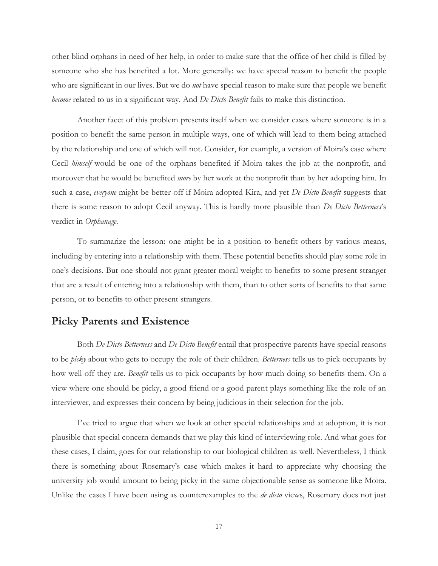other blind orphans in need of her help, in order to make sure that the office of her child is filled by someone who she has benefited a lot. More generally: we have special reason to benefit the people who are significant in our lives. But we do *not* have special reason to make sure that people we benefit *become* related to us in a significant way. And *De Dicto Benefit* fails to make this distinction.

Another facet of this problem presents itself when we consider cases where someone is in a position to benefit the same person in multiple ways, one of which will lead to them being attached by the relationship and one of which will not. Consider, for example, a version of Moira's case where Cecil *himself* would be one of the orphans benefited if Moira takes the job at the nonprofit, and moreover that he would be benefited *more* by her work at the nonprofit than by her adopting him. In such a case, *everyone* might be better-off if Moira adopted Kira, and yet *De Dicto Benefit* suggests that there is some reason to adopt Cecil anyway. This is hardly more plausible than *De Dicto Betterness*'s verdict in *Orphanage*.

To summarize the lesson: one might be in a position to benefit others by various means, including by entering into a relationship with them. These potential benefits should play some role in one's decisions. But one should not grant greater moral weight to benefits to some present stranger that are a result of entering into a relationship with them, than to other sorts of benefits to that same person, or to benefits to other present strangers.

# **Picky Parents and Existence**

Both *De Dicto Betterness* and *De Dicto Benefit* entail that prospective parents have special reasons to be *picky* about who gets to occupy the role of their children. *Betterness* tells us to pick occupants by how well-off they are. *Benefit* tells us to pick occupants by how much doing so benefits them. On a view where one should be picky, a good friend or a good parent plays something like the role of an interviewer, and expresses their concern by being judicious in their selection for the job.

I've tried to argue that when we look at other special relationships and at adoption, it is not plausible that special concern demands that we play this kind of interviewing role. And what goes for these cases, I claim, goes for our relationship to our biological children as well. Nevertheless, I think there is something about Rosemary's case which makes it hard to appreciate why choosing the university job would amount to being picky in the same objectionable sense as someone like Moira. Unlike the cases I have been using as counterexamples to the *de dicto* views, Rosemary does not just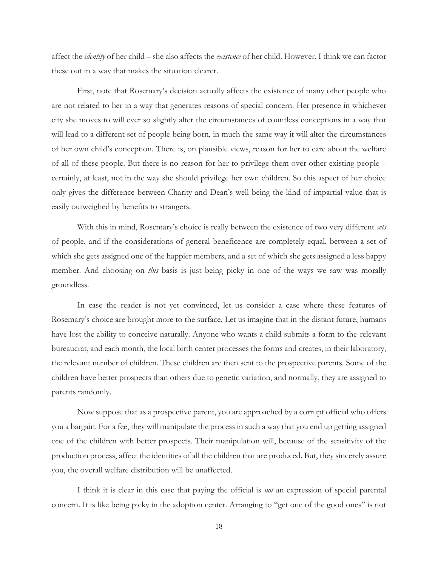affect the *identity* of her child – she also affects the *existence* of her child. However, I think we can factor these out in a way that makes the situation clearer.

First, note that Rosemary's decision actually affects the existence of many other people who are not related to her in a way that generates reasons of special concern. Her presence in whichever city she moves to will ever so slightly alter the circumstances of countless conceptions in a way that will lead to a different set of people being born, in much the same way it will alter the circumstances of her own child's conception. There is, on plausible views, reason for her to care about the welfare of all of these people. But there is no reason for her to privilege them over other existing people – certainly, at least, not in the way she should privilege her own children. So this aspect of her choice only gives the difference between Charity and Dean's well-being the kind of impartial value that is easily outweighed by benefits to strangers.

With this in mind, Rosemary's choice is really between the existence of two very different *sets*  of people, and if the considerations of general beneficence are completely equal, between a set of which she gets assigned one of the happier members, and a set of which she gets assigned a less happy member. And choosing on *this* basis is just being picky in one of the ways we saw was morally groundless.

In case the reader is not yet convinced, let us consider a case where these features of Rosemary's choice are brought more to the surface. Let us imagine that in the distant future, humans have lost the ability to conceive naturally. Anyone who wants a child submits a form to the relevant bureaucrat, and each month, the local birth center processes the forms and creates, in their laboratory, the relevant number of children. These children are then sent to the prospective parents. Some of the children have better prospects than others due to genetic variation, and normally, they are assigned to parents randomly.

Now suppose that as a prospective parent, you are approached by a corrupt official who offers you a bargain. For a fee, they will manipulate the process in such a way that you end up getting assigned one of the children with better prospects. Their manipulation will, because of the sensitivity of the production process, affect the identities of all the children that are produced. But, they sincerely assure you, the overall welfare distribution will be unaffected.

I think it is clear in this case that paying the official is *not* an expression of special parental concern. It is like being picky in the adoption center. Arranging to "get one of the good ones" is not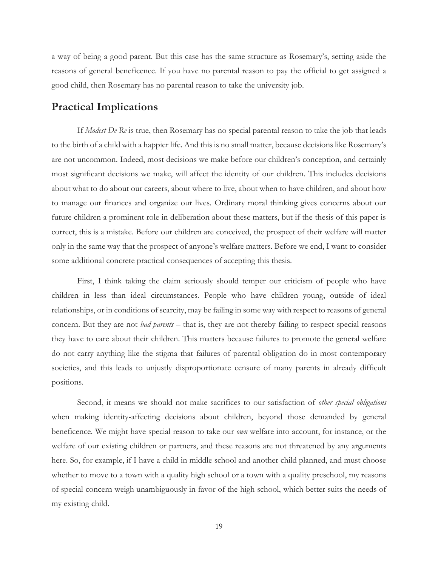a way of being a good parent. But this case has the same structure as Rosemary's, setting aside the reasons of general beneficence. If you have no parental reason to pay the official to get assigned a good child, then Rosemary has no parental reason to take the university job.

# **Practical Implications**

If *Modest De Re* is true, then Rosemary has no special parental reason to take the job that leads to the birth of a child with a happier life. And this is no small matter, because decisions like Rosemary's are not uncommon. Indeed, most decisions we make before our children's conception, and certainly most significant decisions we make, will affect the identity of our children. This includes decisions about what to do about our careers, about where to live, about when to have children, and about how to manage our finances and organize our lives. Ordinary moral thinking gives concerns about our future children a prominent role in deliberation about these matters, but if the thesis of this paper is correct, this is a mistake. Before our children are conceived, the prospect of their welfare will matter only in the same way that the prospect of anyone's welfare matters. Before we end, I want to consider some additional concrete practical consequences of accepting this thesis.

First, I think taking the claim seriously should temper our criticism of people who have children in less than ideal circumstances. People who have children young, outside of ideal relationships, or in conditions of scarcity, may be failing in some way with respect to reasons of general concern. But they are not *bad parents* – that is, they are not thereby failing to respect special reasons they have to care about their children. This matters because failures to promote the general welfare do not carry anything like the stigma that failures of parental obligation do in most contemporary societies, and this leads to unjustly disproportionate censure of many parents in already difficult positions.

Second, it means we should not make sacrifices to our satisfaction of *other special obligations* when making identity-affecting decisions about children, beyond those demanded by general beneficence. We might have special reason to take our *own* welfare into account, for instance, or the welfare of our existing children or partners, and these reasons are not threatened by any arguments here. So, for example, if I have a child in middle school and another child planned, and must choose whether to move to a town with a quality high school or a town with a quality preschool, my reasons of special concern weigh unambiguously in favor of the high school, which better suits the needs of my existing child.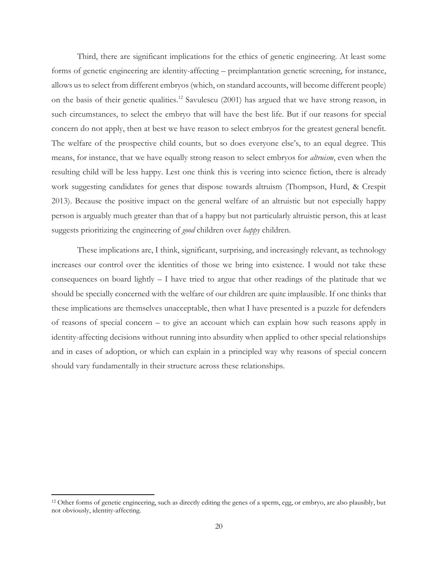Third, there are significant implications for the ethics of genetic engineering. At least some forms of genetic engineering are identity-affecting – preimplantation genetic screening, for instance, allows us to select from different embryos (which, on standard accounts, will become different people) on the basis of their genetic qualities.<sup>12</sup> Savulescu (2001) has argued that we have strong reason, in such circumstances, to select the embryo that will have the best life. But if our reasons for special concern do not apply, then at best we have reason to select embryos for the greatest general benefit. The welfare of the prospective child counts, but so does everyone else's, to an equal degree. This means, for instance, that we have equally strong reason to select embryos for *altruism*, even when the resulting child will be less happy. Lest one think this is veering into science fiction, there is already work suggesting candidates for genes that dispose towards altruism (Thompson, Hurd, & Crespit 2013). Because the positive impact on the general welfare of an altruistic but not especially happy person is arguably much greater than that of a happy but not particularly altruistic person, this at least suggests prioritizing the engineering of *good* children over *happy* children.

These implications are, I think, significant, surprising, and increasingly relevant, as technology increases our control over the identities of those we bring into existence. I would not take these consequences on board lightly  $- I$  have tried to argue that other readings of the platitude that we should be specially concerned with the welfare of our children are quite implausible. If one thinks that these implications are themselves unacceptable, then what I have presented is a puzzle for defenders of reasons of special concern – to give an account which can explain how such reasons apply in identity-affecting decisions without running into absurdity when applied to other special relationships and in cases of adoption, or which can explain in a principled way why reasons of special concern should vary fundamentally in their structure across these relationships.

 $\overline{\phantom{a}}$ 

<sup>&</sup>lt;sup>12</sup> Other forms of genetic engineering, such as directly editing the genes of a sperm, egg, or embryo, are also plausibly, but not obviously, identity-affecting.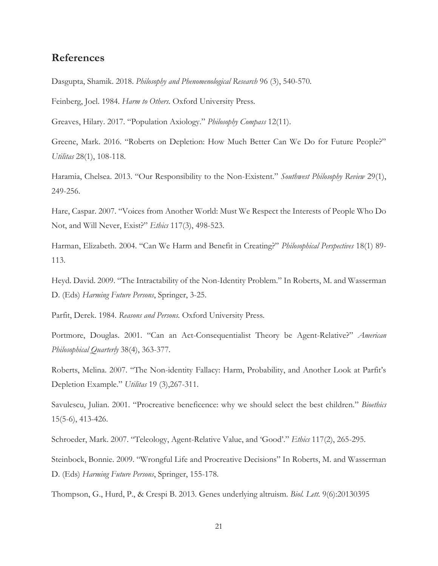# **References**

Dasgupta, Shamik. 2018. *Philosophy and Phenomenological Research* 96 (3), 540-570.

Feinberg, Joel. 1984. *Harm to Others*. Oxford University Press.

Greaves, Hilary. 2017. "Population Axiology." *Philosophy Compass* 12(11).

Greene, Mark. 2016. "Roberts on Depletion: How Much Better Can We Do for Future People?" *Utilitas* 28(1), 108-118.

Haramia, Chelsea. 2013. "Our Responsibility to the Non-Existent." *Southwest Philosophy Review* 29(1), 249-256.

Hare, Caspar. 2007. "Voices from Another World: Must We Respect the Interests of People Who Do Not, and Will Never, Exist?" *Ethics* 117(3), 498-523.

Harman, Elizabeth. 2004. "Can We Harm and Benefit in Creating?" *Philosophical Perspectives* 18(1) 89- 113.

Heyd. David. 2009. "The Intractability of the Non-Identity Problem." In Roberts, M. and Wasserman D. (Eds) *Harming Future Persons*, Springer, 3-25.

Parfit, Derek. 1984. *Reasons and Persons.* Oxford University Press.

Portmore, Douglas. 2001. "Can an Act-Consequentialist Theory be Agent-Relative?" *American Philosophical Quarterly* 38(4), 363-377.

Roberts, Melina. 2007. "The Non-identity Fallacy: Harm, Probability, and Another Look at Parfit's Depletion Example." *Utilitas* 19 (3),267-311.

Savulescu, Julian. 2001. "Procreative beneficence: why we should select the best children." *Bioethics* 15(5-6), 413-426.

Schroeder, Mark. 2007. "Teleology, Agent-Relative Value, and 'Good'." *Ethics* 117(2), 265-295.

Steinbock, Bonnie. 2009. "Wrongful Life and Procreative Decisions" In Roberts, M. and Wasserman D. (Eds) *Harming Future Persons*, Springer, 155-178.

Thompson, G., Hurd, P., & Crespi B. 2013. Genes underlying altruism. *Biol. Lett.* 9(6):20130395